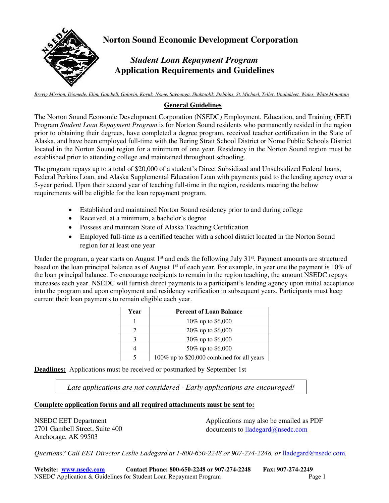

*Brevig Mission, Diomede, Elim, Gambell, Golovin, Koyuk, Nome, Savoonga, Shaktoolik, Stebbins, St. Michael, Teller, Unalakleet, Wales, White Mountain*

#### **General Guidelines**

The Norton Sound Economic Development Corporation (NSEDC) Employment, Education, and Training (EET) Program *Student Loan Repayment Program* is for Norton Sound residents who permanently resided in the region prior to obtaining their degrees, have completed a degree program, received teacher certification in the State of Alaska, and have been employed full-time with the Bering Strait School District or Nome Public Schools District located in the Norton Sound region for a minimum of one year. Residency in the Norton Sound region must be established prior to attending college and maintained throughout schooling.

The program repays up to a total of \$20,000 of a student's Direct Subsidized and Unsubsidized Federal loans, Federal Perkins Loan, and Alaska Supplemental Education Loan with payments paid to the lending agency over a 5-year period. Upon their second year of teaching full-time in the region, residents meeting the below requirements will be eligible for the loan repayment program.

- Established and maintained Norton Sound residency prior to and during college
- Received, at a minimum, a bachelor's degree
- Possess and maintain State of Alaska Teaching Certification
- Employed full-time as a certified teacher with a school district located in the Norton Sound region for at least one year

Under the program, a year starts on August  $1<sup>st</sup>$  and ends the following July 31 $<sup>st</sup>$ . Payment amounts are structured</sup> based on the loan principal balance as of August  $1<sup>st</sup>$  of each year. For example, in year one the payment is 10% of the loan principal balance. To encourage recipients to remain in the region teaching, the amount NSEDC repays increases each year. NSEDC will furnish direct payments to a participant's lending agency upon initial acceptance into the program and upon employment and residency verification in subsequent years. Participants must keep current their loan payments to remain eligible each year.

| Year | <b>Percent of Loan Balance</b>             |
|------|--------------------------------------------|
|      | 10% up to \$6,000                          |
|      | 20\% up to \$6,000                         |
|      | 30% up to \$6,000                          |
|      | 50% up to \$6,000                          |
|      | 100% up to \$20,000 combined for all years |

**Deadlines:** Applications must be received or postmarked by September 1st

*Late applications are not considered - Early applications are encouraged!* 

#### **Complete application forms and all required attachments must be sent to:**

NSEDC EET Department 2701 Gambell Street, Suite 400 Anchorage, AK 99503

Applications may also be emailed as PDF d[ocuments to](mailto:niaomi@nsedc.com) *lladegard@nsedc.com* 

*Questions? Call EET Director Leslie Ladegard at 1-800-650-2248 or 907-274-2248, or* lladegard[@nsedc.com](mailto:niaomi@nsedc.com)*.*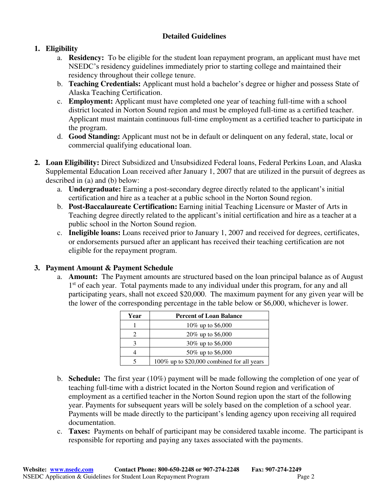### **Detailed Guidelines**

### **1. Eligibility**

- a. **Residency:** To be eligible for the student loan repayment program, an applicant must have met NSEDC's residency guidelines immediately prior to starting college and maintained their residency throughout their college tenure.
- b. **Teaching Credentials:** Applicant must hold a bachelor's degree or higher and possess State of Alaska Teaching Certification.
- c. **Employment:** Applicant must have completed one year of teaching full-time with a school district located in Norton Sound region and must be employed full-time as a certified teacher. Applicant must maintain continuous full-time employment as a certified teacher to participate in the program.
- d. **Good Standing:** Applicant must not be in default or delinquent on any federal, state, local or commercial qualifying educational loan.
- **2. Loan Eligibility:** Direct Subsidized and Unsubsidized Federal loans, Federal Perkins Loan, and Alaska Supplemental Education Loan received after January 1, 2007 that are utilized in the pursuit of degrees as described in (a) and (b) below:
	- a. **Undergraduate:** Earning a post-secondary degree directly related to the applicant's initial certification and hire as a teacher at a public school in the Norton Sound region.
	- b. **Post-Baccalaureate Certification:** Earning initial Teaching Licensure or Master of Arts in Teaching degree directly related to the applicant's initial certification and hire as a teacher at a public school in the Norton Sound region.
	- c. **Ineligible loans:** Loans received prior to January 1, 2007 and received for degrees, certificates, or endorsements pursued after an applicant has received their teaching certification are not eligible for the repayment program.

### **3. Payment Amount & Payment Schedule**

a. **Amount:** The Payment amounts are structured based on the loan principal balance as of August 1<sup>st</sup> of each year. Total payments made to any individual under this program, for any and all participating years, shall not exceed \$20,000. The maximum payment for any given year will be the lower of the corresponding percentage in the table below or \$6,000, whichever is lower.

| Year | <b>Percent of Loan Balance</b>             |
|------|--------------------------------------------|
|      | 10% up to \$6,000                          |
|      | 20% up to \$6,000                          |
|      | 30% up to \$6,000                          |
|      | 50% up to \$6,000                          |
|      | 100% up to \$20,000 combined for all years |

- b. **Schedule:** The first year (10%) payment will be made following the completion of one year of teaching full-time with a district located in the Norton Sound region and verification of employment as a certified teacher in the Norton Sound region upon the start of the following year. Payments for subsequent years will be solely based on the completion of a school year. Payments will be made directly to the participant's lending agency upon receiving all required documentation.
- c. **Taxes:** Payments on behalf of participant may be considered taxable income. The participant is responsible for reporting and paying any taxes associated with the payments.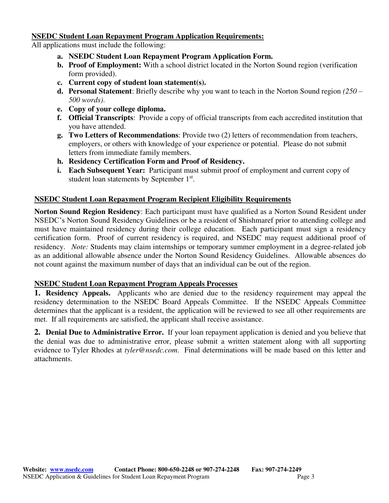#### **NSEDC Student Loan Repayment Program Application Requirements:**

All applications must include the following:

- **a. NSEDC Student Loan Repayment Program Application Form.**
- **b. Proof of Employment:** With a school district located in the Norton Sound region (verification form provided).
- **c. Current copy of student loan statement(s).**
- **d. Personal Statement**: Briefly describe why you want to teach in the Norton Sound region *(250 – 500 words)*.
- **e. Copy of your college diploma.**
- **f. Official Transcripts**: Provide a copy of official transcripts from each accredited institution that you have attended.
- **g. Two Letters of Recommendations**: Provide two (2) letters of recommendation from teachers, employers, or others with knowledge of your experience or potential. Please do not submit letters from immediate family members.
- **h. Residency Certification Form and Proof of Residency.**
- **i. Each Subsequent Year:** Participant must submit proof of employment and current copy of student loan statements by September 1st.

### **NSEDC Student Loan Repayment Program Recipient Eligibility Requirements**

**Norton Sound Region Residency**: Each participant must have qualified as a Norton Sound Resident under NSEDC's Norton Sound Residency Guidelines or be a resident of Shishmaref prior to attending college and must have maintained residency during their college education. Each participant must sign a residency certification form. Proof of current residency is required, and NSEDC may request additional proof of residency. *Note:* Students may claim internships or temporary summer employment in a degree-related job as an additional allowable absence under the Norton Sound Residency Guidelines. Allowable absences do not count against the maximum number of days that an individual can be out of the region.

#### **NSEDC Student Loan Repayment Program Appeals Processes**

**1. Residency Appeals.** Applicants who are denied due to the residency requirement may appeal the residency determination to the NSEDC Board Appeals Committee. If the NSEDC Appeals Committee determines that the applicant is a resident, the application will be reviewed to see all other requirements are met. If all requirements are satisfied, the applicant shall receive assistance.

**2. Denial Due to Administrative Error.** If your loan repayment application is denied and you believe that the denial was due to administrative error, please submit a written statement along with all supporting evidence to Tyler Rhodes at *tyler@nsedc.com*. Final determinations will be made based on this letter and attachments.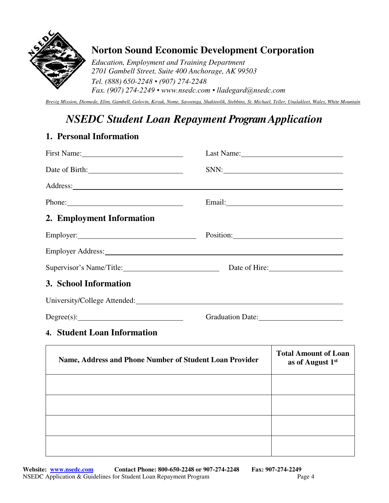

# **Norton Sound Economic Development Corporation**

*Education, Employment and Training Department 2701 Gambell Street, Suite 400 Anchorage, AK 99503 Tel. (888) 650-2248 • (907) 274-2248 Fax. (907) 274-2249 • www.nsedc.com • lladegard@nsedc.com*

*Brevig Mission, Diomede, Elim, Gambell, Golovin, Koyuk, Nome, Savoonga, Shaktoolik, Stebbins, St. Michael, Teller, Unalakleet, Wales, White Mountain* 

# *NSEDC Student Loan Repayment Program Application*

### **1. Personal Information**

| First Name: 1000 March 1000 March 1000 March 1000 March 1000 March 1000 March 1000 March 1000 March 1000 March 1000 March 1000 March 1000 March 1000 March 1000 March 1000 March 1000 March 1000 March 1000 March 1000 March 1 |                                                                                                                                                                                                                               |
|--------------------------------------------------------------------------------------------------------------------------------------------------------------------------------------------------------------------------------|-------------------------------------------------------------------------------------------------------------------------------------------------------------------------------------------------------------------------------|
| Date of Birth:                                                                                                                                                                                                                 | SNN:                                                                                                                                                                                                                          |
|                                                                                                                                                                                                                                |                                                                                                                                                                                                                               |
| Phone:                                                                                                                                                                                                                         |                                                                                                                                                                                                                               |
| 2. Employment Information                                                                                                                                                                                                      |                                                                                                                                                                                                                               |
|                                                                                                                                                                                                                                | Position: 2000 and 2000 and 2000 and 2000 and 2000 and 2000 and 2000 and 2000 and 2000 and 2000 and 2000 and 2000 and 2000 and 2000 and 2000 and 2000 and 2000 and 2000 and 2000 and 2000 and 2000 and 2000 and 2000 and 2000 |
|                                                                                                                                                                                                                                |                                                                                                                                                                                                                               |
| Supervisor's Name/Title: Date of Hire: Date of Hire:                                                                                                                                                                           |                                                                                                                                                                                                                               |
| 3. School Information                                                                                                                                                                                                          |                                                                                                                                                                                                                               |
| University/College Attended: University/College Attended:                                                                                                                                                                      |                                                                                                                                                                                                                               |
|                                                                                                                                                                                                                                | Graduation Date:                                                                                                                                                                                                              |

## **4. Student Loan Information**

| Name, Address and Phone Number of Student Loan Provider | <b>Total Amount of Loan</b><br>as of August 1st |
|---------------------------------------------------------|-------------------------------------------------|
|                                                         |                                                 |
|                                                         |                                                 |
|                                                         |                                                 |
|                                                         |                                                 |